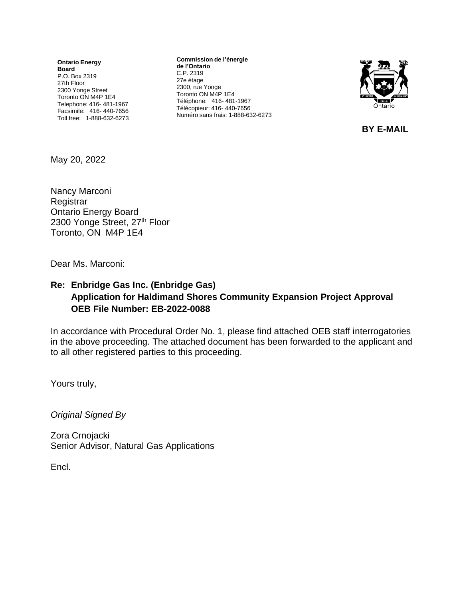**Ontario Energy Board** P.O. Box 2319 27th Floor 2300 Yonge Street Toronto ON M4P 1E4 Telephone: 416- 481-1967 Facsimile: 416- 440-7656 Toll free: 1-888-632-6273

**Commission de l'énergie de l'Ontario** C.P. 2319 27e étage 2300, rue Yonge Toronto ON M4P 1E4 Téléphone: 416- 481-1967 Télécopieur: 416- 440-7656 Numéro sans frais: 1-888-632-6273



**BY E-MAIL**

May 20, 2022

Nancy Marconi **Registrar** Ontario Energy Board 2300 Yonge Street, 27th Floor Toronto, ON M4P 1E4

Dear Ms. Marconi:

## **Re: Enbridge Gas Inc. (Enbridge Gas) Application for Haldimand Shores Community Expansion Project Approval OEB File Number: EB-2022-0088**

In accordance with Procedural Order No. 1, please find attached OEB staff interrogatories in the above proceeding. The attached document has been forwarded to the applicant and to all other registered parties to this proceeding.

Yours truly,

*Original Signed By*

Zora Crnojacki Senior Advisor, Natural Gas Applications

Encl.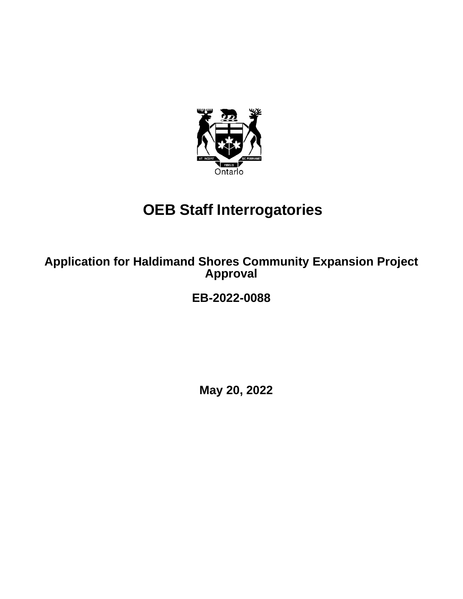

# **OEB Staff Interrogatories**

**Application for Haldimand Shores Community Expansion Project Approval**

**EB-2022-0088**

**May 20, 2022**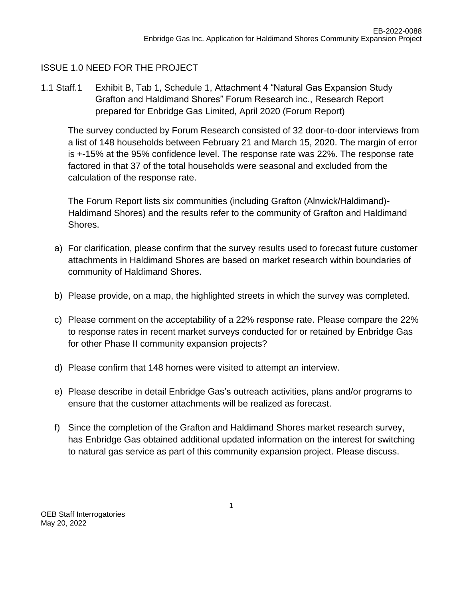# ISSUE 1.0 NEED FOR THE PROJECT

1.1 Staff.1 Exhibit B, Tab 1, Schedule 1, Attachment 4 "Natural Gas Expansion Study Grafton and Haldimand Shores" Forum Research inc., Research Report prepared for Enbridge Gas Limited, April 2020 (Forum Report)

The survey conducted by Forum Research consisted of 32 door-to-door interviews from a list of 148 households between February 21 and March 15, 2020. The margin of error is +-15% at the 95% confidence level. The response rate was 22%. The response rate factored in that 37 of the total households were seasonal and excluded from the calculation of the response rate.

The Forum Report lists six communities (including Grafton (Alnwick/Haldimand)- Haldimand Shores) and the results refer to the community of Grafton and Haldimand Shores.

- a) For clarification, please confirm that the survey results used to forecast future customer attachments in Haldimand Shores are based on market research within boundaries of community of Haldimand Shores.
- b) Please provide, on a map, the highlighted streets in which the survey was completed.
- c) Please comment on the acceptability of a 22% response rate. Please compare the 22% to response rates in recent market surveys conducted for or retained by Enbridge Gas for other Phase II community expansion projects?
- d) Please confirm that 148 homes were visited to attempt an interview.
- e) Please describe in detail Enbridge Gas's outreach activities, plans and/or programs to ensure that the customer attachments will be realized as forecast.
- f) Since the completion of the Grafton and Haldimand Shores market research survey, has Enbridge Gas obtained additional updated information on the interest for switching to natural gas service as part of this community expansion project. Please discuss.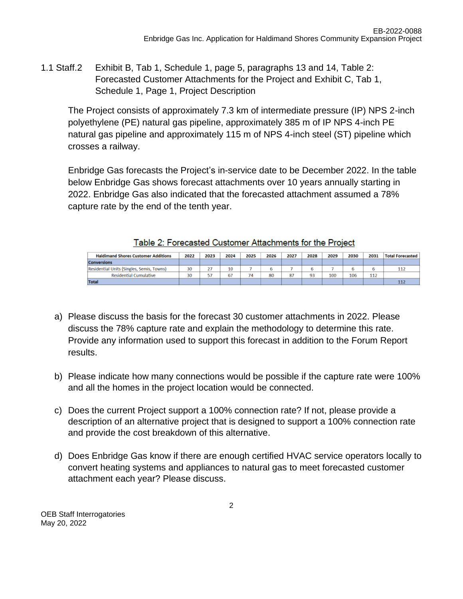1.1 Staff.2 Exhibit B, Tab 1, Schedule 1, page 5, paragraphs 13 and 14, Table 2: Forecasted Customer Attachments for the Project and Exhibit C, Tab 1, Schedule 1, Page 1, Project Description

The Project consists of approximately 7.3 km of intermediate pressure (IP) NPS 2-inch polyethylene (PE) natural gas pipeline, approximately 385 m of IP NPS 4-inch PE natural gas pipeline and approximately 115 m of NPS 4-inch steel (ST) pipeline which crosses a railway.

Enbridge Gas forecasts the Project's in-service date to be December 2022. In the table below Enbridge Gas shows forecast attachments over 10 years annually starting in 2022. Enbridge Gas also indicated that the forecasted attachment assumed a 78% capture rate by the end of the tenth year.

| <b>Haldimand Shores Customer Additions</b> | 2022 | 2023 | 2024 | 2025 | 2026 | 2027 | 2028 | 2029 | 2030 | 2031 | <b>Total Forecasted</b> |
|--------------------------------------------|------|------|------|------|------|------|------|------|------|------|-------------------------|
| <b>Conversions</b>                         |      |      |      |      |      |      |      |      |      |      |                         |
| Residential Units (Singles, Semis, Towns)  | 30   |      | 10   |      |      |      |      |      |      |      | 11.                     |
| <b>Residential Cumulative</b>              | 30   |      | 67   |      | 80   | 87   | 93   | 100  | 106  | 112  |                         |
| <b>Total</b>                               |      |      |      |      |      |      |      |      |      |      |                         |

|  |  | Table 2: Forecasted Customer Attachments for the Project |  |
|--|--|----------------------------------------------------------|--|
|  |  |                                                          |  |

- a) Please discuss the basis for the forecast 30 customer attachments in 2022. Please discuss the 78% capture rate and explain the methodology to determine this rate. Provide any information used to support this forecast in addition to the Forum Report results.
- b) Please indicate how many connections would be possible if the capture rate were 100% and all the homes in the project location would be connected.
- c) Does the current Project support a 100% connection rate? If not, please provide a description of an alternative project that is designed to support a 100% connection rate and provide the cost breakdown of this alternative.
- d) Does Enbridge Gas know if there are enough certified HVAC service operators locally to convert heating systems and appliances to natural gas to meet forecasted customer attachment each year? Please discuss.

OEB Staff Interrogatories May 20, 2022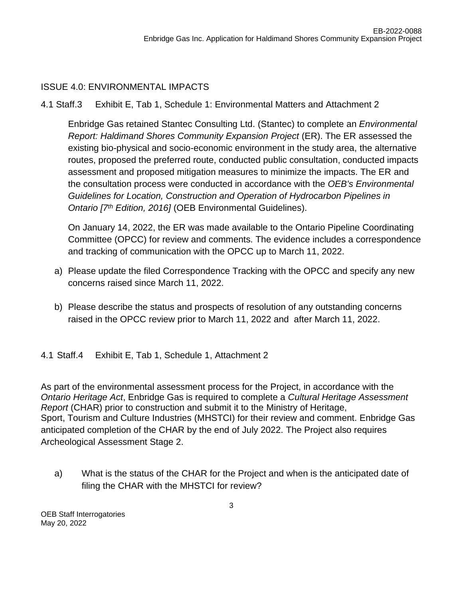#### ISSUE 4.0: ENVIRONMENTAL IMPACTS

4.1 Staff.3 Exhibit E, Tab 1, Schedule 1: Environmental Matters and Attachment 2

Enbridge Gas retained Stantec Consulting Ltd. (Stantec) to complete an *Environmental Report: Haldimand Shores Community Expansion Project* (ER). The ER assessed the existing bio-physical and socio-economic environment in the study area, the alternative routes, proposed the preferred route, conducted public consultation, conducted impacts assessment and proposed mitigation measures to minimize the impacts. The ER and the consultation process were conducted in accordance with the *OEB's Environmental Guidelines for Location, Construction and Operation of Hydrocarbon Pipelines in Ontario [7th Edition, 2016]* (OEB Environmental Guidelines).

On January 14, 2022, the ER was made available to the Ontario Pipeline Coordinating Committee (OPCC) for review and comments. The evidence includes a correspondence and tracking of communication with the OPCC up to March 11, 2022.

- a) Please update the filed Correspondence Tracking with the OPCC and specify any new concerns raised since March 11, 2022.
- b) Please describe the status and prospects of resolution of any outstanding concerns raised in the OPCC review prior to March 11, 2022 and after March 11, 2022.

4.1 Staff.4 Exhibit E, Tab 1, Schedule 1, Attachment 2

As part of the environmental assessment process for the Project, in accordance with the *Ontario Heritage Act*, Enbridge Gas is required to complete a *Cultural Heritage Assessment Report* (CHAR) prior to construction and submit it to the Ministry of Heritage, Sport, Tourism and Culture Industries (MHSTCI) for their review and comment. Enbridge Gas anticipated completion of the CHAR by the end of July 2022. The Project also requires Archeological Assessment Stage 2.

a) What is the status of the CHAR for the Project and when is the anticipated date of filing the CHAR with the MHSTCI for review?

OEB Staff Interrogatories May 20, 2022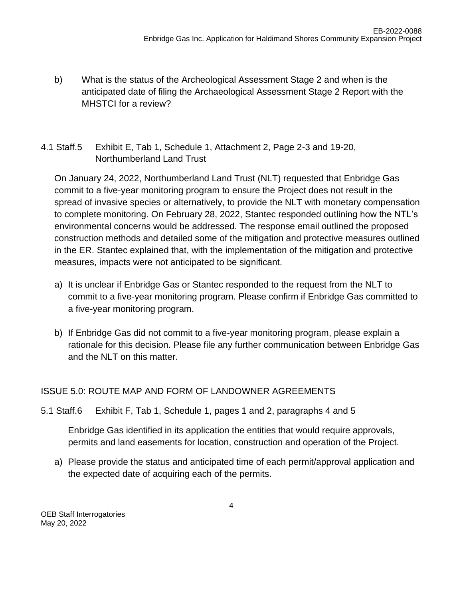- b) What is the status of the Archeological Assessment Stage 2 and when is the anticipated date of filing the Archaeological Assessment Stage 2 Report with the MHSTCI for a review?
- 4.1 Staff.5 Exhibit E, Tab 1, Schedule 1, Attachment 2, Page 2-3 and 19-20, Northumberland Land Trust

On January 24, 2022, Northumberland Land Trust (NLT) requested that Enbridge Gas commit to a five-year monitoring program to ensure the Project does not result in the spread of invasive species or alternatively, to provide the NLT with monetary compensation to complete monitoring. On February 28, 2022, Stantec responded outlining how the NTL's environmental concerns would be addressed. The response email outlined the proposed construction methods and detailed some of the mitigation and protective measures outlined in the ER. Stantec explained that, with the implementation of the mitigation and protective measures, impacts were not anticipated to be significant.

- a) It is unclear if Enbridge Gas or Stantec responded to the request from the NLT to commit to a five-year monitoring program. Please confirm if Enbridge Gas committed to a five-year monitoring program.
- b) If Enbridge Gas did not commit to a five-year monitoring program, please explain a rationale for this decision. Please file any further communication between Enbridge Gas and the NLT on this matter.

## ISSUE 5.0: ROUTE MAP AND FORM OF LANDOWNER AGREEMENTS

5.1 Staff.6 Exhibit F, Tab 1, Schedule 1, pages 1 and 2, paragraphs 4 and 5

Enbridge Gas identified in its application the entities that would require approvals, permits and land easements for location, construction and operation of the Project.

a) Please provide the status and anticipated time of each permit/approval application and the expected date of acquiring each of the permits.